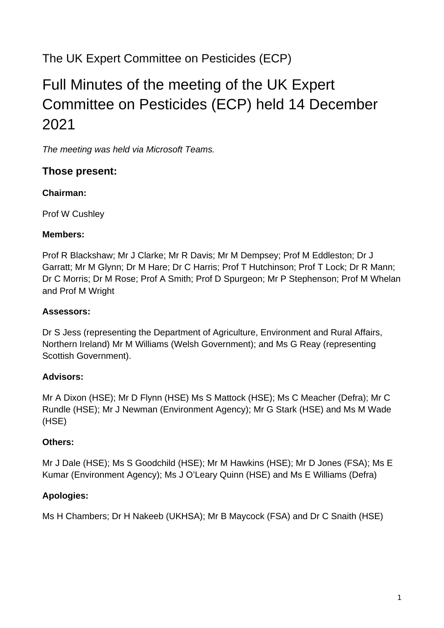## The UK Expert Committee on Pesticides (ECP)

# Full Minutes of the meeting of the UK Expert Committee on Pesticides (ECP) held 14 December 2021

*The meeting was held via Microsoft Teams.* 

### **Those present:**

### **Chairman:**

Prof W Cushley

#### **Members:**

Prof R Blackshaw; Mr J Clarke; Mr R Davis; Mr M Dempsey; Prof M Eddleston; Dr J Garratt; Mr M Glynn; Dr M Hare; Dr C Harris; Prof T Hutchinson; Prof T Lock; Dr R Mann; Dr C Morris; Dr M Rose; Prof A Smith; Prof D Spurgeon; Mr P Stephenson; Prof M Whelan and Prof M Wright

#### **Assessors:**

Dr S Jess (representing the Department of Agriculture, Environment and Rural Affairs, Northern Ireland) Mr M Williams (Welsh Government); and Ms G Reay (representing Scottish Government).

#### **Advisors:**

Mr A Dixon (HSE); Mr D Flynn (HSE) Ms S Mattock (HSE); Ms C Meacher (Defra); Mr C Rundle (HSE); Mr J Newman (Environment Agency); Mr G Stark (HSE) and Ms M Wade (HSE)

#### **Others:**

Mr J Dale (HSE); Ms S Goodchild (HSE); Mr M Hawkins (HSE); Mr D Jones (FSA); Ms E Kumar (Environment Agency); Ms J O'Leary Quinn (HSE) and Ms E Williams (Defra)

#### **Apologies:**

Ms H Chambers; Dr H Nakeeb (UKHSA); Mr B Maycock (FSA) and Dr C Snaith (HSE)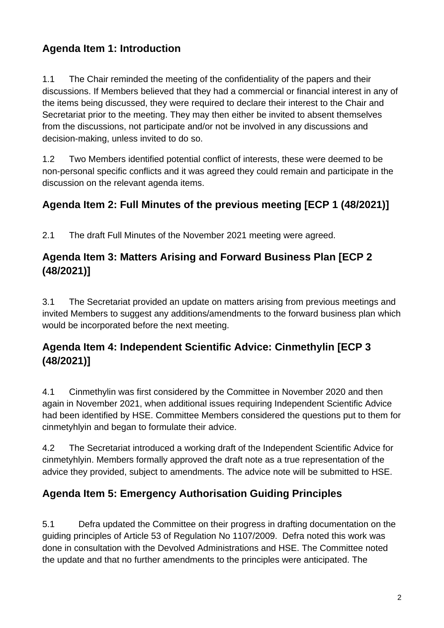### **Agenda Item 1: Introduction**

1.1 The Chair reminded the meeting of the confidentiality of the papers and their discussions. If Members believed that they had a commercial or financial interest in any of the items being discussed, they were required to declare their interest to the Chair and Secretariat prior to the meeting. They may then either be invited to absent themselves from the discussions, not participate and/or not be involved in any discussions and decision-making, unless invited to do so.

1.2 Two Members identified potential conflict of interests, these were deemed to be non-personal specific conflicts and it was agreed they could remain and participate in the discussion on the relevant agenda items.

### **Agenda Item 2: Full Minutes of the previous meeting [ECP 1 (48/2021)]**

2.1 The draft Full Minutes of the November 2021 meeting were agreed.

### **Agenda Item 3: Matters Arising and Forward Business Plan [ECP 2 (48/2021)]**

3.1 The Secretariat provided an update on matters arising from previous meetings and invited Members to suggest any additions/amendments to the forward business plan which would be incorporated before the next meeting.

### **Agenda Item 4: Independent Scientific Advice: Cinmethylin [ECP 3 (48/2021)]**

4.1 Cinmethylin was first considered by the Committee in November 2020 and then again in November 2021, when additional issues requiring Independent Scientific Advice had been identified by HSE. Committee Members considered the questions put to them for cinmetyhlyin and began to formulate their advice.

4.2 The Secretariat introduced a working draft of the Independent Scientific Advice for cinmetyhlyin. Members formally approved the draft note as a true representation of the advice they provided, subject to amendments. The advice note will be submitted to HSE.

### **Agenda Item 5: Emergency Authorisation Guiding Principles**

5.1 Defra updated the Committee on their progress in drafting documentation on the guiding principles of Article 53 of Regulation No 1107/2009. Defra noted this work was done in consultation with the Devolved Administrations and HSE. The Committee noted the update and that no further amendments to the principles were anticipated. The